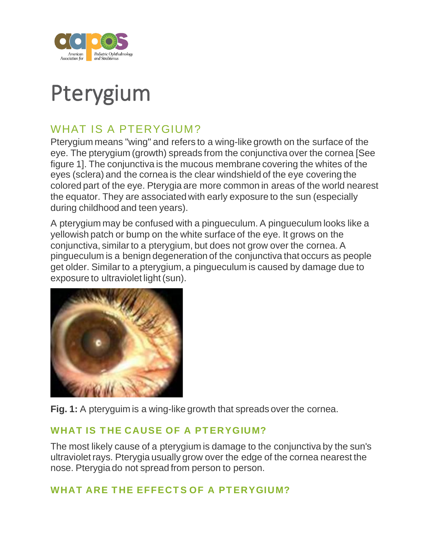

# Pterygium

## WHAT IS A PTERYGIUM?

Pterygium means "wing" and refers to a wing-like growth on the surface of the eye. The pterygium (growth) spreads from the conjunctiva over the cornea [See figure 1]. The conjunctiva is the mucous membrane covering the whites of the eyes (sclera) and the cornea is the clear windshield of the eye covering the colored part of the eye. Pterygia are more common in areas of the world nearest the equator. They are associated with early exposure to the sun (especially during childhood and teen years).

A pterygium may be confused with a pingueculum. A pingueculum looks like a yellowish patch or bump on the white surface of the eye. It grows on the conjunctiva, similar to a pterygium, but does not grow over the cornea. A pingueculum is a benign degeneration of the conjunctiva that occurs as people get older. Similar to a pterygium, a pingueculum is caused by damage due to exposure to ultraviolet light (sun).



**Fig. 1:** A pteryguim is a wing-like growth that spreads over the cornea.

#### WHAT IS THE CAUSE OF A PTERYGIUM?

The most likely cause of a pterygium is damage to the conjunctiva by the sun's ultraviolet rays. Pterygia usually grow over the edge of the cornea nearest the nose. Pterygia do not spread from person to person.

### WHAT ARE THE EFFECTS OF A PTERYGIUM?